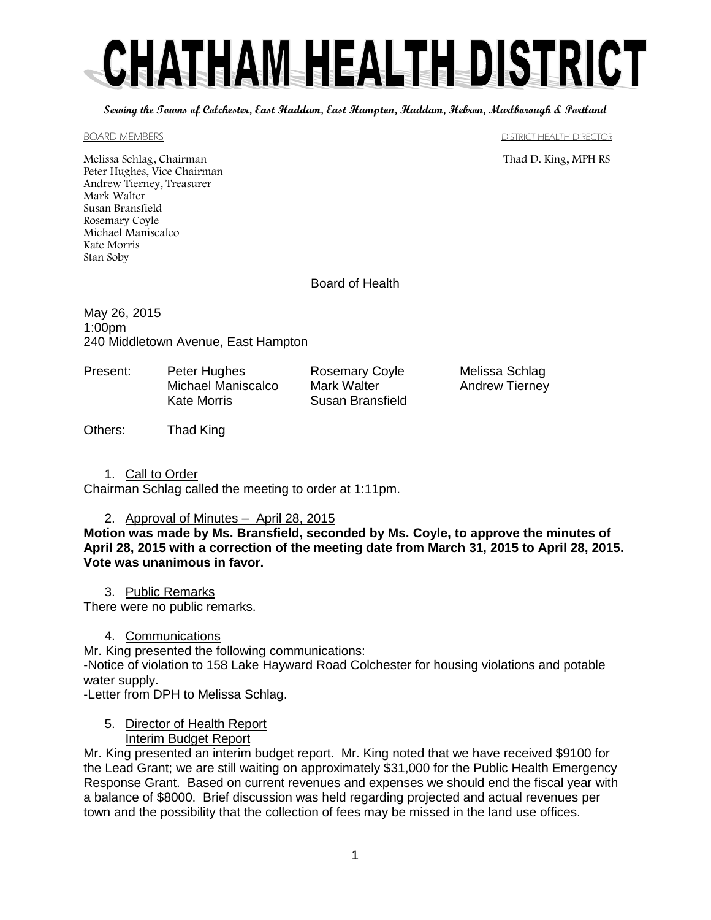# CHATHAM HEALTH DISTRICT

**Serving the Towns of Colchester, East Haddam, East Hampton, Haddam, Hebron, Marlborough & Portland**

#### BOARD MEMBERS DISTRICT HEALTH DIRECTOR

Melissa Schlag, Chairman Thad D. King, MPH RS Peter Hughes, Vice Chairman Andrew Tierney, Treasurer Mark Walter Susan Bransfield Rosemary Coyle Michael Maniscalco Kate Morris Stan Soby

Board of Health

May 26, 2015 1:00pm 240 Middletown Avenue, East Hampton

Present: Peter Hughes Rosemary Coyle Melissa Schlag Michael Maniscalco Mark Walter **Andrew Tierney** Kate Morris Susan Bransfield

Others: Thad King

1. Call to Order

Chairman Schlag called the meeting to order at 1:11pm.

#### 2. Approval of Minutes – April 28, 2015

**Motion was made by Ms. Bransfield, seconded by Ms. Coyle, to approve the minutes of April 28, 2015 with a correction of the meeting date from March 31, 2015 to April 28, 2015. Vote was unanimous in favor.**

3. Public Remarks

There were no public remarks.

# 4. Communications

Mr. King presented the following communications:

-Notice of violation to 158 Lake Hayward Road Colchester for housing violations and potable water supply.

-Letter from DPH to Melissa Schlag.

#### 5. Director of Health Report Interim Budget Report

Mr. King presented an interim budget report. Mr. King noted that we have received \$9100 for the Lead Grant; we are still waiting on approximately \$31,000 for the Public Health Emergency Response Grant. Based on current revenues and expenses we should end the fiscal year with a balance of \$8000. Brief discussion was held regarding projected and actual revenues per town and the possibility that the collection of fees may be missed in the land use offices.